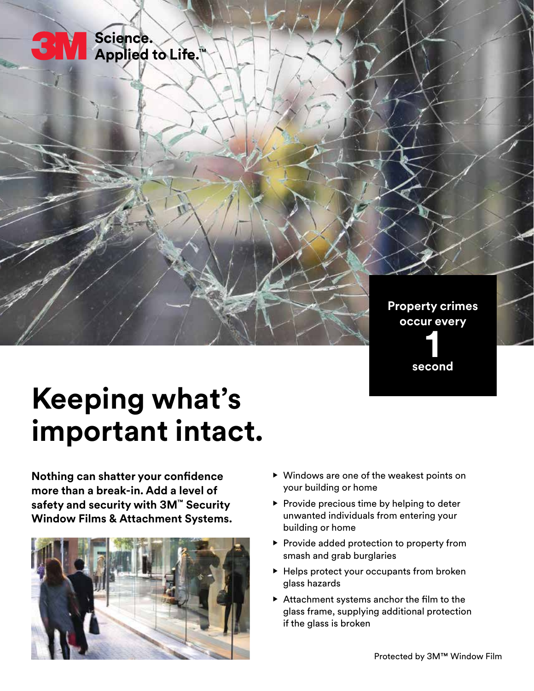

# **Keeping what's important intact.**

**Nothing can shatter your confidence more than a break-in. Add a level of safety and security with 3M™ Security Window Films & Attachment Systems.**



- **•** Windows are one of the weakest points on your building or home
- **•** Provide precious time by helping to deter unwanted individuals from entering your building or home
- **•** Provide added protection to property from smash and grab burglaries
- **•** Helps protect your occupants from broken glass hazards
- **•** Attachment systems anchor the film to the glass frame, supplying additional protection if the glass is broken